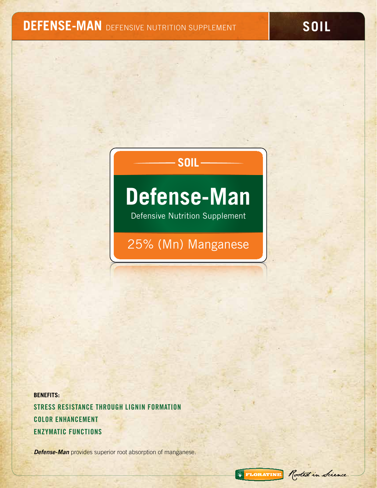# **DEFENSE-MAN** DEFENSIVE NUTRITION SUPPLEMENT **SOIL**

# **SOIL**

# **Defense-Man**

Defensive Nutrition Supplement

25% (Mn) Manganese

**BENEFITS:** Stress Resistance through Lignin Formation Color Enhancement Enzymatic Functions

*Defense-Man* provides superior root absorption of manganese.